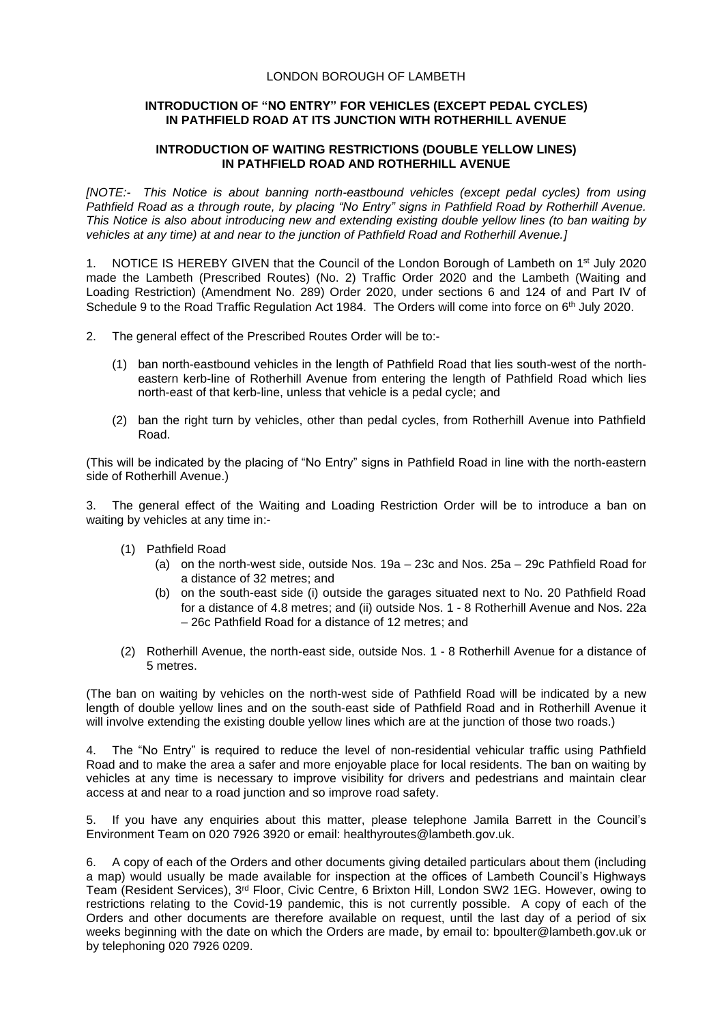## LONDON BOROUGH OF LAMBETH

## **INTRODUCTION OF "NO ENTRY" FOR VEHICLES (EXCEPT PEDAL CYCLES) IN PATHFIELD ROAD AT ITS JUNCTION WITH ROTHERHILL AVENUE**

## **INTRODUCTION OF WAITING RESTRICTIONS (DOUBLE YELLOW LINES) IN PATHFIELD ROAD AND ROTHERHILL AVENUE**

*[NOTE:- This Notice is about banning north-eastbound vehicles (except pedal cycles) from using Pathfield Road as a through route, by placing "No Entry" signs in Pathfield Road by Rotherhill Avenue. This Notice is also about introducing new and extending existing double yellow lines (to ban waiting by vehicles at any time) at and near to the junction of Pathfield Road and Rotherhill Avenue.]*

1. NOTICE IS HEREBY GIVEN that the Council of the London Borough of Lambeth on  $1^{st}$  July 2020 made the Lambeth (Prescribed Routes) (No. 2) Traffic Order 2020 and the Lambeth (Waiting and Loading Restriction) (Amendment No. 289) Order 2020, under sections 6 and 124 of and Part IV of Schedule 9 to the Road Traffic Regulation Act 1984. The Orders will come into force on 6<sup>th</sup> July 2020.

- 2. The general effect of the Prescribed Routes Order will be to:-
	- (1) ban north-eastbound vehicles in the length of Pathfield Road that lies south-west of the northeastern kerb-line of Rotherhill Avenue from entering the length of Pathfield Road which lies north-east of that kerb-line, unless that vehicle is a pedal cycle; and
	- (2) ban the right turn by vehicles, other than pedal cycles, from Rotherhill Avenue into Pathfield Road.

(This will be indicated by the placing of "No Entry" signs in Pathfield Road in line with the north-eastern side of Rotherhill Avenue.)

3. The general effect of the Waiting and Loading Restriction Order will be to introduce a ban on waiting by vehicles at any time in:-

- (1) Pathfield Road
	- (a) on the north-west side, outside Nos. 19a 23c and Nos. 25a 29c Pathfield Road for a distance of 32 metres; and
	- (b) on the south-east side (i) outside the garages situated next to No. 20 Pathfield Road for a distance of 4.8 metres; and (ii) outside Nos. 1 - 8 Rotherhill Avenue and Nos. 22a – 26c Pathfield Road for a distance of 12 metres; and
- (2) Rotherhill Avenue, the north-east side, outside Nos. 1 8 Rotherhill Avenue for a distance of 5 metres.

(The ban on waiting by vehicles on the north-west side of Pathfield Road will be indicated by a new length of double yellow lines and on the south-east side of Pathfield Road and in Rotherhill Avenue it will involve extending the existing double yellow lines which are at the junction of those two roads.)

4. The "No Entry" is required to reduce the level of non-residential vehicular traffic using Pathfield Road and to make the area a safer and more enjoyable place for local residents. The ban on waiting by vehicles at any time is necessary to improve visibility for drivers and pedestrians and maintain clear access at and near to a road junction and so improve road safety.

5. If you have any enquiries about this matter, please telephone Jamila Barrett in the Council's Environment Team on 020 7926 3920 or email: [healthyroutes@lambeth.gov.uk.](mailto:healthyroutes@lambeth.gov.uk)

6. A copy of each of the Orders and other documents giving detailed particulars about them (including a map) would usually be made available for inspection at the offices of Lambeth Council's Highways Team (Resident Services), 3<sup>rd</sup> Floor, Civic Centre, 6 Brixton Hill, London SW2 1EG. However, owing to restrictions relating to the Covid-19 pandemic, this is not currently possible. A copy of each of the Orders and other documents are therefore available on request, until the last day of a period of six weeks beginning with the date on which the Orders are made, by email to: [bpoulter@lambeth.gov.uk](mailto:bpoulter@lambeth.gov.uk) or by telephoning 020 7926 0209.